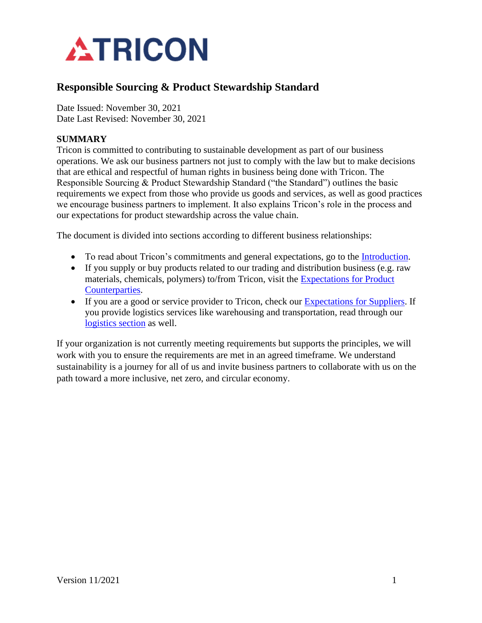

## **Responsible Sourcing & Product Stewardship Standard**

Date Issued: November 30, 2021 Date Last Revised: November 30, 2021

## **SUMMARY**

Tricon is committed to contributing to sustainable development as part of our business operations. We ask our business partners not just to comply with the law but to make decisions that are ethical and respectful of human rights in business being done with Tricon. The Responsible Sourcing & Product Stewardship Standard ("the Standard") outlines the basic requirements we expect from those who provide us goods and services, as well as good practices we encourage business partners to implement. It also explains Tricon's role in the process and our expectations for product stewardship across the value chain.

The document is divided into sections according to different business relationships:

- To read about Tricon's commitments and general expectations, go to the [Introduction.](#page-1-0)
- If you supply or buy products related to our trading and distribution business (e.g. raw materials, chemicals, polymers) to/from Tricon, visit the [Expectations for Product](#page-9-0)  [Counterparties.](#page-9-0)
- If you are a good or service provider to Tricon, check our [Expectations for Suppliers.](#page-7-0) If you provide logistics services like warehousing and transportation, read through our [logistics section](#page-7-0) as well.

If your organization is not currently meeting requirements but supports the principles, we will work with you to ensure the requirements are met in an agreed timeframe. We understand sustainability is a journey for all of us and invite business partners to collaborate with us on the path toward a more inclusive, net zero, and circular economy.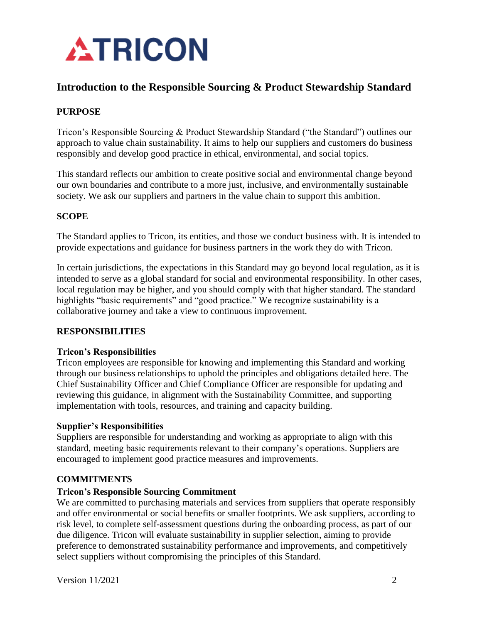

## <span id="page-1-0"></span>**Introduction to the Responsible Sourcing & Product Stewardship Standard**

## **PURPOSE**

Tricon's Responsible Sourcing & Product Stewardship Standard ("the Standard") outlines our approach to value chain sustainability. It aims to help our suppliers and customers do business responsibly and develop good practice in ethical, environmental, and social topics.

This standard reflects our ambition to create positive social and environmental change beyond our own boundaries and contribute to a more just, inclusive, and environmentally sustainable society. We ask our suppliers and partners in the value chain to support this ambition.

## **SCOPE**

The Standard applies to Tricon, its entities, and those we conduct business with. It is intended to provide expectations and guidance for business partners in the work they do with Tricon.

In certain jurisdictions, the expectations in this Standard may go beyond local regulation, as it is intended to serve as a global standard for social and environmental responsibility. In other cases, local regulation may be higher, and you should comply with that higher standard. The standard highlights "basic requirements" and "good practice." We recognize sustainability is a collaborative journey and take a view to continuous improvement.

## **RESPONSIBILITIES**

### **Tricon's Responsibilities**

Tricon employees are responsible for knowing and implementing this Standard and working through our business relationships to uphold the principles and obligations detailed here. The Chief Sustainability Officer and Chief Compliance Officer are responsible for updating and reviewing this guidance, in alignment with the Sustainability Committee, and supporting implementation with tools, resources, and training and capacity building.

## **Supplier's Responsibilities**

Suppliers are responsible for understanding and working as appropriate to align with this standard, meeting basic requirements relevant to their company's operations. Suppliers are encouraged to implement good practice measures and improvements.

## **COMMITMENTS**

## **Tricon's Responsible Sourcing Commitment**

We are committed to purchasing materials and services from suppliers that operate responsibly and offer environmental or social benefits or smaller footprints. We ask suppliers, according to risk level, to complete self-assessment questions during the onboarding process, as part of our due diligence. Tricon will evaluate sustainability in supplier selection, aiming to provide preference to demonstrated sustainability performance and improvements, and competitively select suppliers without compromising the principles of this Standard.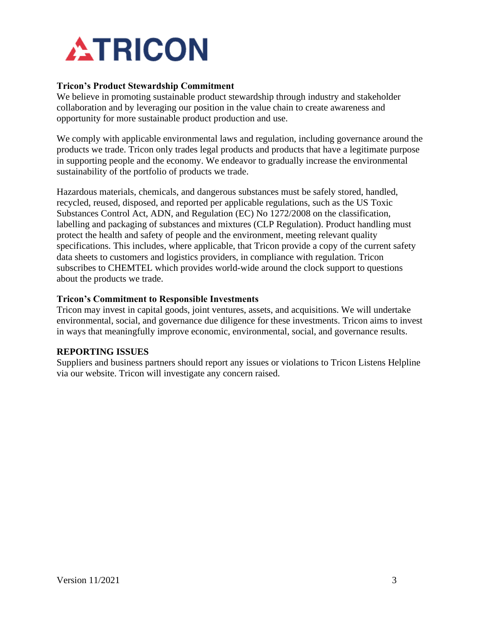

### **Tricon's Product Stewardship Commitment**

We believe in promoting sustainable product stewardship through industry and stakeholder collaboration and by leveraging our position in the value chain to create awareness and opportunity for more sustainable product production and use.

We comply with applicable environmental laws and regulation, including governance around the products we trade. Tricon only trades legal products and products that have a legitimate purpose in supporting people and the economy. We endeavor to gradually increase the environmental sustainability of the portfolio of products we trade.

Hazardous materials, chemicals, and dangerous substances must be safely stored, handled, recycled, reused, disposed, and reported per applicable regulations, such as the US Toxic Substances Control Act, ADN, and Regulation (EC) No 1272/2008 on the classification, labelling and packaging of substances and mixtures (CLP Regulation). Product handling must protect the health and safety of people and the environment, meeting relevant quality specifications. This includes, where applicable, that Tricon provide a copy of the current safety data sheets to customers and logistics providers, in compliance with regulation. Tricon subscribes to CHEMTEL which provides world-wide around the clock support to questions about the products we trade.

### **Tricon's Commitment to Responsible Investments**

Tricon may invest in capital goods, joint ventures, assets, and acquisitions. We will undertake environmental, social, and governance due diligence for these investments. Tricon aims to invest in ways that meaningfully improve economic, environmental, social, and governance results.

### **REPORTING ISSUES**

Suppliers and business partners should report any issues or violations to Tricon Listens Helpline via our website. Tricon will investigate any concern raised.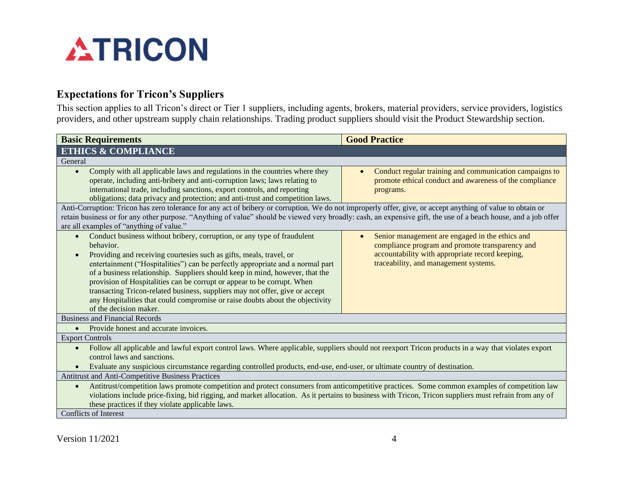

## **Expectations for Tricon's Suppliers**

This section applies to all Tricon's direct or Tier 1 suppliers, including agents, brokers, material providers, service providers, logistics providers, and other upstream supply chain relationships. Trading product suppliers should visit the Product Stewardship section.

<span id="page-3-0"></span>

| <b>Basic Requirements</b>                                                                                                                                                                                                                                                                                                                                                                                                                                                                                                                                                                                        | <b>Good Practice</b>                                                                                                                                                                                        |  |
|------------------------------------------------------------------------------------------------------------------------------------------------------------------------------------------------------------------------------------------------------------------------------------------------------------------------------------------------------------------------------------------------------------------------------------------------------------------------------------------------------------------------------------------------------------------------------------------------------------------|-------------------------------------------------------------------------------------------------------------------------------------------------------------------------------------------------------------|--|
| <b>ETHICS &amp; COMPLIANCE</b>                                                                                                                                                                                                                                                                                                                                                                                                                                                                                                                                                                                   |                                                                                                                                                                                                             |  |
| General                                                                                                                                                                                                                                                                                                                                                                                                                                                                                                                                                                                                          |                                                                                                                                                                                                             |  |
| Comply with all applicable laws and regulations in the countries where they<br>$\bullet$<br>operate, including anti-bribery and anti-corruption laws; laws relating to<br>international trade, including sanctions, export controls, and reporting<br>obligations; data privacy and protection; and anti-trust and competition laws.                                                                                                                                                                                                                                                                             | Conduct regular training and communication campaigns to<br>$\bullet$<br>promote ethical conduct and awareness of the compliance<br>programs.                                                                |  |
| Anti-Corruption: Tricon has zero tolerance for any act of bribery or corruption. We do not improperly offer, give, or accept anything of value to obtain or<br>retain business or for any other purpose. "Anything of value" should be viewed very broadly: cash, an expensive gift, the use of a beach house, and a job offer<br>are all examples of "anything of value."                                                                                                                                                                                                                                       |                                                                                                                                                                                                             |  |
| Conduct business without bribery, corruption, or any type of fraudulent<br>behavior.<br>Providing and receiving courtesies such as gifts, meals, travel, or<br>$\bullet$<br>entertainment ("Hospitalities") can be perfectly appropriate and a normal part<br>of a business relationship. Suppliers should keep in mind, however, that the<br>provision of Hospitalities can be corrupt or appear to be corrupt. When<br>transacting Tricon-related business, suppliers may not offer, give or accept<br>any Hospitalities that could compromise or raise doubts about the objectivity<br>of the decision maker. | Senior management are engaged in the ethics and<br>$\bullet$<br>compliance program and promote transparency and<br>accountability with appropriate record keeping,<br>traceability, and management systems. |  |
| <b>Business and Financial Records</b>                                                                                                                                                                                                                                                                                                                                                                                                                                                                                                                                                                            |                                                                                                                                                                                                             |  |
| Provide honest and accurate invoices.<br>$\bullet$                                                                                                                                                                                                                                                                                                                                                                                                                                                                                                                                                               |                                                                                                                                                                                                             |  |
| <b>Export Controls</b>                                                                                                                                                                                                                                                                                                                                                                                                                                                                                                                                                                                           |                                                                                                                                                                                                             |  |
| Follow all applicable and lawful export control laws. Where applicable, suppliers should not reexport Tricon products in a way that violates export<br>control laws and sanctions.<br>Evaluate any suspicious circumstance regarding controlled products, end-use, end-user, or ultimate country of destination.                                                                                                                                                                                                                                                                                                 |                                                                                                                                                                                                             |  |
| Antitrust and Anti-Competitive Business Practices                                                                                                                                                                                                                                                                                                                                                                                                                                                                                                                                                                |                                                                                                                                                                                                             |  |
| Antitrust/competition laws promote competition and protect consumers from anticompetitive practices. Some common examples of competition law<br>$\bullet$<br>violations include price-fixing, bid rigging, and market allocation. As it pertains to business with Tricon, Tricon suppliers must refrain from any of<br>these practices if they violate applicable laws.                                                                                                                                                                                                                                          |                                                                                                                                                                                                             |  |
| <b>Conflicts of Interest</b>                                                                                                                                                                                                                                                                                                                                                                                                                                                                                                                                                                                     |                                                                                                                                                                                                             |  |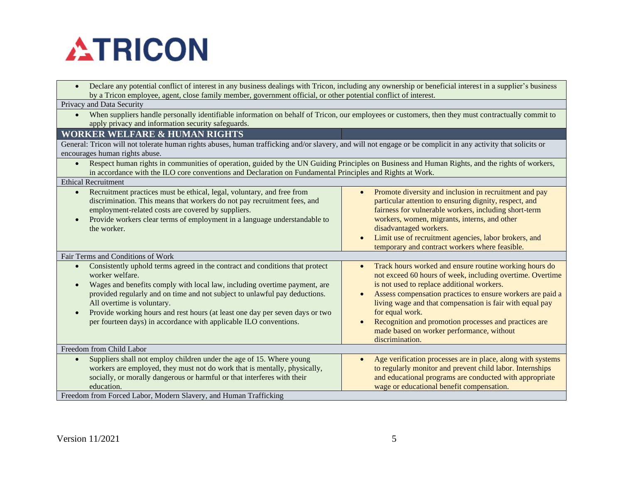

| Declare any potential conflict of interest in any business dealings with Tricon, including any ownership or beneficial interest in a supplier's business<br>by a Tricon employee, agent, close family member, government official, or other potential conflict of interest.                                                                                                                                                                                |                                                                                                                                                                                                                                                                                                                                                                                                                                                                                |  |
|------------------------------------------------------------------------------------------------------------------------------------------------------------------------------------------------------------------------------------------------------------------------------------------------------------------------------------------------------------------------------------------------------------------------------------------------------------|--------------------------------------------------------------------------------------------------------------------------------------------------------------------------------------------------------------------------------------------------------------------------------------------------------------------------------------------------------------------------------------------------------------------------------------------------------------------------------|--|
| Privacy and Data Security                                                                                                                                                                                                                                                                                                                                                                                                                                  |                                                                                                                                                                                                                                                                                                                                                                                                                                                                                |  |
| When suppliers handle personally identifiable information on behalf of Tricon, our employees or customers, then they must contractually commit to<br>$\bullet$<br>apply privacy and information security safeguards.                                                                                                                                                                                                                                       |                                                                                                                                                                                                                                                                                                                                                                                                                                                                                |  |
| <b>WORKER WELFARE &amp; HUMAN RIGHTS</b>                                                                                                                                                                                                                                                                                                                                                                                                                   |                                                                                                                                                                                                                                                                                                                                                                                                                                                                                |  |
| General: Tricon will not tolerate human rights abuses, human trafficking and/or slavery, and will not engage or be complicit in any activity that solicits or                                                                                                                                                                                                                                                                                              |                                                                                                                                                                                                                                                                                                                                                                                                                                                                                |  |
| encourages human rights abuse.                                                                                                                                                                                                                                                                                                                                                                                                                             |                                                                                                                                                                                                                                                                                                                                                                                                                                                                                |  |
| Respect human rights in communities of operation, guided by the UN Guiding Principles on Business and Human Rights, and the rights of workers,<br>$\bullet$<br>in accordance with the ILO core conventions and Declaration on Fundamental Principles and Rights at Work.                                                                                                                                                                                   |                                                                                                                                                                                                                                                                                                                                                                                                                                                                                |  |
| <b>Ethical Recruitment</b>                                                                                                                                                                                                                                                                                                                                                                                                                                 |                                                                                                                                                                                                                                                                                                                                                                                                                                                                                |  |
| Recruitment practices must be ethical, legal, voluntary, and free from<br>$\bullet$<br>discrimination. This means that workers do not pay recruitment fees, and<br>employment-related costs are covered by suppliers.<br>Provide workers clear terms of employment in a language understandable to<br>the worker.                                                                                                                                          | Promote diversity and inclusion in recruitment and pay<br>$\bullet$<br>particular attention to ensuring dignity, respect, and<br>fairness for vulnerable workers, including short-term<br>workers, women, migrants, interns, and other<br>disadvantaged workers.<br>Limit use of recruitment agencies, labor brokers, and<br>$\bullet$<br>temporary and contract workers where feasible.                                                                                       |  |
| Fair Terms and Conditions of Work                                                                                                                                                                                                                                                                                                                                                                                                                          |                                                                                                                                                                                                                                                                                                                                                                                                                                                                                |  |
| Consistently uphold terms agreed in the contract and conditions that protect<br>$\bullet$<br>worker welfare.<br>Wages and benefits comply with local law, including overtime payment, are<br>provided regularly and on time and not subject to unlawful pay deductions.<br>All overtime is voluntary.<br>Provide working hours and rest hours (at least one day per seven days or two<br>per fourteen days) in accordance with applicable ILO conventions. | Track hours worked and ensure routine working hours do<br>$\bullet$<br>not exceed 60 hours of week, including overtime. Overtime<br>is not used to replace additional workers.<br>Assess compensation practices to ensure workers are paid a<br>$\bullet$<br>living wage and that compensation is fair with equal pay<br>for equal work.<br>Recognition and promotion processes and practices are<br>$\bullet$<br>made based on worker performance, without<br>discrimination. |  |
| Freedom from Child Labor                                                                                                                                                                                                                                                                                                                                                                                                                                   |                                                                                                                                                                                                                                                                                                                                                                                                                                                                                |  |
| Suppliers shall not employ children under the age of 15. Where young<br>$\bullet$<br>workers are employed, they must not do work that is mentally, physically,<br>socially, or morally dangerous or harmful or that interferes with their<br>education.<br>Freedom from Forced Labor, Modern Slavery, and Human Trafficking                                                                                                                                | Age verification processes are in place, along with systems<br>to regularly monitor and prevent child labor. Internships<br>and educational programs are conducted with appropriate<br>wage or educational benefit compensation.                                                                                                                                                                                                                                               |  |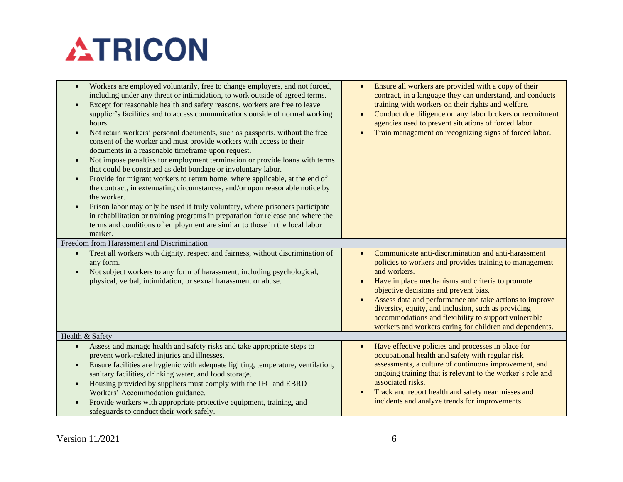# **ATRICON**

| Workers are employed voluntarily, free to change employers, and not forced,<br>$\bullet$<br>including under any threat or intimidation, to work outside of agreed terms.<br>Except for reasonable health and safety reasons, workers are free to leave<br>$\bullet$<br>supplier's facilities and to access communications outside of normal working<br>hours.<br>Not retain workers' personal documents, such as passports, without the free<br>$\bullet$<br>consent of the worker and must provide workers with access to their<br>documents in a reasonable timeframe upon request.<br>Not impose penalties for employment termination or provide loans with terms<br>$\bullet$<br>that could be construed as debt bondage or involuntary labor.<br>Provide for migrant workers to return home, where applicable, at the end of<br>$\bullet$<br>the contract, in extenuating circumstances, and/or upon reasonable notice by<br>the worker.<br>Prison labor may only be used if truly voluntary, where prisoners participate<br>$\bullet$<br>in rehabilitation or training programs in preparation for release and where the<br>terms and conditions of employment are similar to those in the local labor<br>market. | Ensure all workers are provided with a copy of their<br>$\bullet$<br>contract, in a language they can understand, and conducts<br>training with workers on their rights and welfare.<br>Conduct due diligence on any labor brokers or recruitment<br>$\bullet$<br>agencies used to prevent situations of forced labor<br>Train management on recognizing signs of forced labor.<br>$\bullet$                                                                                               |
|-------------------------------------------------------------------------------------------------------------------------------------------------------------------------------------------------------------------------------------------------------------------------------------------------------------------------------------------------------------------------------------------------------------------------------------------------------------------------------------------------------------------------------------------------------------------------------------------------------------------------------------------------------------------------------------------------------------------------------------------------------------------------------------------------------------------------------------------------------------------------------------------------------------------------------------------------------------------------------------------------------------------------------------------------------------------------------------------------------------------------------------------------------------------------------------------------------------------------|--------------------------------------------------------------------------------------------------------------------------------------------------------------------------------------------------------------------------------------------------------------------------------------------------------------------------------------------------------------------------------------------------------------------------------------------------------------------------------------------|
| Freedom from Harassment and Discrimination                                                                                                                                                                                                                                                                                                                                                                                                                                                                                                                                                                                                                                                                                                                                                                                                                                                                                                                                                                                                                                                                                                                                                                              |                                                                                                                                                                                                                                                                                                                                                                                                                                                                                            |
| Treat all workers with dignity, respect and fairness, without discrimination of<br>$\bullet$<br>any form.<br>Not subject workers to any form of harassment, including psychological,<br>$\bullet$<br>physical, verbal, intimidation, or sexual harassment or abuse.                                                                                                                                                                                                                                                                                                                                                                                                                                                                                                                                                                                                                                                                                                                                                                                                                                                                                                                                                     | Communicate anti-discrimination and anti-harassment<br>$\bullet$<br>policies to workers and provides training to management<br>and workers.<br>Have in place mechanisms and criteria to promote<br>$\bullet$<br>objective decisions and prevent bias.<br>Assess data and performance and take actions to improve<br>diversity, equity, and inclusion, such as providing<br>accommodations and flexibility to support vulnerable<br>workers and workers caring for children and dependents. |
| Health & Safety                                                                                                                                                                                                                                                                                                                                                                                                                                                                                                                                                                                                                                                                                                                                                                                                                                                                                                                                                                                                                                                                                                                                                                                                         |                                                                                                                                                                                                                                                                                                                                                                                                                                                                                            |
| Assess and manage health and safety risks and take appropriate steps to<br>$\bullet$<br>prevent work-related injuries and illnesses.<br>Ensure facilities are hygienic with adequate lighting, temperature, ventilation,<br>$\bullet$<br>sanitary facilities, drinking water, and food storage.<br>Housing provided by suppliers must comply with the IFC and EBRD<br>$\bullet$<br>Workers' Accommodation guidance.<br>Provide workers with appropriate protective equipment, training, and<br>$\bullet$<br>safeguards to conduct their work safely.                                                                                                                                                                                                                                                                                                                                                                                                                                                                                                                                                                                                                                                                    | Have effective policies and processes in place for<br>$\bullet$<br>occupational health and safety with regular risk<br>assessments, a culture of continuous improvement, and<br>ongoing training that is relevant to the worker's role and<br>associated risks.<br>Track and report health and safety near misses and<br>$\bullet$<br>incidents and analyze trends for improvements.                                                                                                       |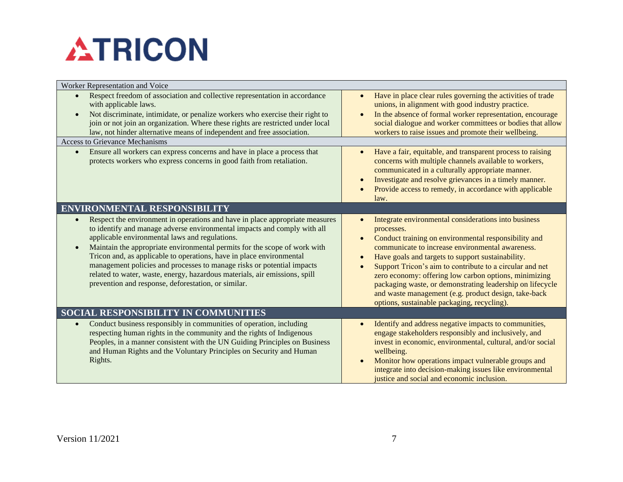# **ATRICON**

| Worker Representation and Voice                                                                                                                                                                                                                                                                                                                                                                                                                                                                                                                                                |                                                                                                                                                                                                                                                                                                                                                                                                                                                                                                                                           |  |
|--------------------------------------------------------------------------------------------------------------------------------------------------------------------------------------------------------------------------------------------------------------------------------------------------------------------------------------------------------------------------------------------------------------------------------------------------------------------------------------------------------------------------------------------------------------------------------|-------------------------------------------------------------------------------------------------------------------------------------------------------------------------------------------------------------------------------------------------------------------------------------------------------------------------------------------------------------------------------------------------------------------------------------------------------------------------------------------------------------------------------------------|--|
| Respect freedom of association and collective representation in accordance<br>$\bullet$<br>with applicable laws.<br>Not discriminate, intimidate, or penalize workers who exercise their right to<br>join or not join an organization. Where these rights are restricted under local<br>law, not hinder alternative means of independent and free association.                                                                                                                                                                                                                 | Have in place clear rules governing the activities of trade<br>$\bullet$<br>unions, in alignment with good industry practice.<br>In the absence of formal worker representation, encourage<br>social dialogue and worker committees or bodies that allow<br>workers to raise issues and promote their wellbeing.                                                                                                                                                                                                                          |  |
| <b>Access to Grievance Mechanisms</b>                                                                                                                                                                                                                                                                                                                                                                                                                                                                                                                                          |                                                                                                                                                                                                                                                                                                                                                                                                                                                                                                                                           |  |
| Ensure all workers can express concerns and have in place a process that<br>$\bullet$<br>protects workers who express concerns in good faith from retaliation.                                                                                                                                                                                                                                                                                                                                                                                                                 | Have a fair, equitable, and transparent process to raising<br>concerns with multiple channels available to workers,<br>communicated in a culturally appropriate manner.<br>Investigate and resolve grievances in a timely manner.<br>Provide access to remedy, in accordance with applicable<br>law.                                                                                                                                                                                                                                      |  |
| <b>ENVIRONMENTAL RESPONSIBILITY</b>                                                                                                                                                                                                                                                                                                                                                                                                                                                                                                                                            |                                                                                                                                                                                                                                                                                                                                                                                                                                                                                                                                           |  |
| Respect the environment in operations and have in place appropriate measures<br>to identify and manage adverse environmental impacts and comply with all<br>applicable environmental laws and regulations.<br>Maintain the appropriate environmental permits for the scope of work with<br>Tricon and, as applicable to operations, have in place environmental<br>management policies and processes to manage risks or potential impacts<br>related to water, waste, energy, hazardous materials, air emissions, spill<br>prevention and response, deforestation, or similar. | Integrate environmental considerations into business<br>processes.<br>Conduct training on environmental responsibility and<br>$\bullet$<br>communicate to increase environmental awareness.<br>Have goals and targets to support sustainability.<br>Support Tricon's aim to contribute to a circular and net<br>zero economy: offering low carbon options, minimizing<br>packaging waste, or demonstrating leadership on lifecycle<br>and waste management (e.g. product design, take-back<br>options, sustainable packaging, recycling). |  |
| SOCIAL RESPONSIBILITY IN COMMUNITIES                                                                                                                                                                                                                                                                                                                                                                                                                                                                                                                                           |                                                                                                                                                                                                                                                                                                                                                                                                                                                                                                                                           |  |
| Conduct business responsibly in communities of operation, including<br>respecting human rights in the community and the rights of Indigenous<br>Peoples, in a manner consistent with the UN Guiding Principles on Business<br>and Human Rights and the Voluntary Principles on Security and Human<br>Rights.                                                                                                                                                                                                                                                                   | Identify and address negative impacts to communities,<br>engage stakeholders responsibly and inclusively, and<br>invest in economic, environmental, cultural, and/or social<br>wellbeing.<br>Monitor how operations impact vulnerable groups and<br>integrate into decision-making issues like environmental<br>justice and social and economic inclusion.                                                                                                                                                                                |  |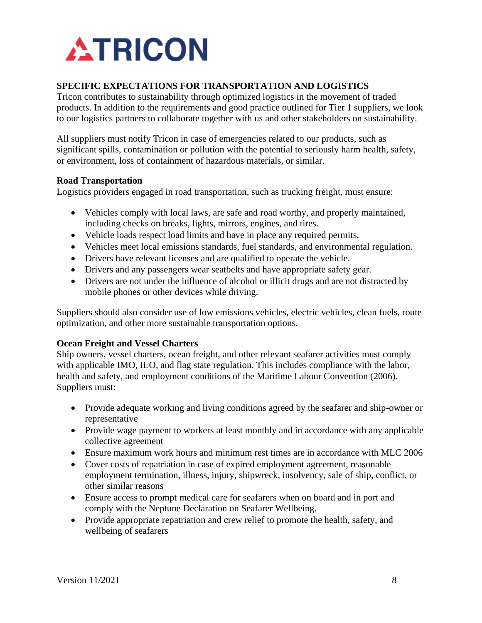

## <span id="page-7-0"></span>**SPECIFIC EXPECTATIONS FOR TRANSPORTATION AND LOGISTICS**

Tricon contributes to sustainability through optimized logistics in the movement of traded products. In addition to the requirements and good practice outlined for Tier 1 suppliers, we look to our logistics partners to collaborate together with us and other stakeholders on sustainability.

All suppliers must notify Tricon in case of emergencies related to our products, such as significant spills, contamination or pollution with the potential to seriously harm health, safety, or environment, loss of containment of hazardous materials, or similar.

### **Road Transportation**

Logistics providers engaged in road transportation, such as trucking freight, must ensure:

- Vehicles comply with local laws, are safe and road worthy, and properly maintained, including checks on breaks, lights, mirrors, engines, and tires.
- Vehicle loads respect load limits and have in place any required permits.
- Vehicles meet local emissions standards, fuel standards, and environmental regulation.
- Drivers have relevant licenses and are qualified to operate the vehicle.
- Drivers and any passengers wear seatbelts and have appropriate safety gear.
- Drivers are not under the influence of alcohol or illicit drugs and are not distracted by mobile phones or other devices while driving.

Suppliers should also consider use of low emissions vehicles, electric vehicles, clean fuels, route optimization, and other more sustainable transportation options.

### **Ocean Freight and Vessel Charters**

Ship owners, vessel charters, ocean freight, and other relevant seafarer activities must comply with applicable IMO, ILO, and flag state regulation. This includes compliance with the labor, health and safety, and employment conditions of the Maritime Labour Convention (2006). Suppliers must:

- Provide adequate working and living conditions agreed by the seafarer and ship-owner or representative
- Provide wage payment to workers at least monthly and in accordance with any applicable collective agreement
- Ensure maximum work hours and minimum rest times are in accordance with MLC 2006
- Cover costs of repatriation in case of expired employment agreement, reasonable employment termination, illness, injury, shipwreck, insolvency, sale of ship, conflict, or other similar reasons
- Ensure access to prompt medical care for seafarers when on board and in port and comply with the Neptune Declaration on Seafarer Wellbeing.
- Provide appropriate repatriation and crew relief to promote the health, safety, and wellbeing of seafarers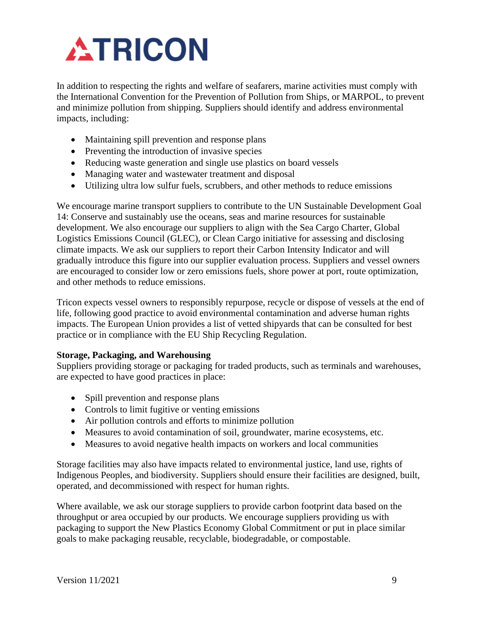# **ATRICON**

In addition to respecting the rights and welfare of seafarers, marine activities must comply with the International Convention for the Prevention of Pollution from Ships, or MARPOL, to prevent and minimize pollution from shipping. Suppliers should identify and address environmental impacts, including:

- Maintaining spill prevention and response plans
- Preventing the introduction of invasive species
- Reducing waste generation and single use plastics on board vessels
- Managing water and wastewater treatment and disposal
- Utilizing ultra low sulfur fuels, scrubbers, and other methods to reduce emissions

We encourage marine transport suppliers to contribute to the UN Sustainable Development Goal 14: Conserve and sustainably use the oceans, seas and marine resources for sustainable development. We also encourage our suppliers to align with the Sea Cargo Charter, Global Logistics Emissions Council (GLEC), or Clean Cargo initiative for assessing and disclosing climate impacts. We ask our suppliers to report their Carbon Intensity Indicator and will gradually introduce this figure into our supplier evaluation process. Suppliers and vessel owners are encouraged to consider low or zero emissions fuels, shore power at port, route optimization, and other methods to reduce emissions.

Tricon expects vessel owners to responsibly repurpose, recycle or dispose of vessels at the end of life, following good practice to avoid environmental contamination and adverse human rights impacts. The European Union provides a list of vetted shipyards that can be consulted for best practice or in compliance with the EU Ship Recycling Regulation.

## **Storage, Packaging, and Warehousing**

Suppliers providing storage or packaging for traded products, such as terminals and warehouses, are expected to have good practices in place:

- Spill prevention and response plans
- Controls to limit fugitive or venting emissions
- Air pollution controls and efforts to minimize pollution
- Measures to avoid contamination of soil, groundwater, marine ecosystems, etc.
- Measures to avoid negative health impacts on workers and local communities

Storage facilities may also have impacts related to environmental justice, land use, rights of Indigenous Peoples, and biodiversity. Suppliers should ensure their facilities are designed, built, operated, and decommissioned with respect for human rights.

Where available, we ask our storage suppliers to provide carbon footprint data based on the throughput or area occupied by our products. We encourage suppliers providing us with packaging to support the New Plastics Economy Global Commitment or put in place similar goals to make packaging reusable, recyclable, biodegradable, or compostable.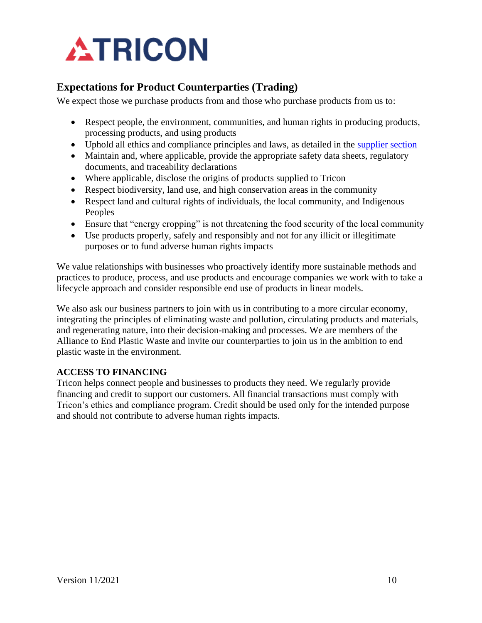

# <span id="page-9-0"></span>**Expectations for Product Counterparties (Trading)**

We expect those we purchase products from and those who purchase products from us to:

- Respect people, the environment, communities, and human rights in producing products, processing products, and using products
- Uphold all ethics and compliance principles and laws, as detailed in the [supplier section](#page-3-0)
- Maintain and, where applicable, provide the appropriate safety data sheets, regulatory documents, and traceability declarations
- Where applicable, disclose the origins of products supplied to Tricon
- Respect biodiversity, land use, and high conservation areas in the community
- Respect land and cultural rights of individuals, the local community, and Indigenous Peoples
- Ensure that "energy cropping" is not threatening the food security of the local community
- Use products properly, safely and responsibly and not for any illicit or illegitimate purposes or to fund adverse human rights impacts

We value relationships with businesses who proactively identify more sustainable methods and practices to produce, process, and use products and encourage companies we work with to take a lifecycle approach and consider responsible end use of products in linear models.

We also ask our business partners to join with us in contributing to a more circular economy, integrating the principles of eliminating waste and pollution, circulating products and materials, and regenerating nature, into their decision-making and processes. We are members of the Alliance to End Plastic Waste and invite our counterparties to join us in the ambition to end plastic waste in the environment.

## **ACCESS TO FINANCING**

Tricon helps connect people and businesses to products they need. We regularly provide financing and credit to support our customers. All financial transactions must comply with Tricon's ethics and compliance program. Credit should be used only for the intended purpose and should not contribute to adverse human rights impacts.